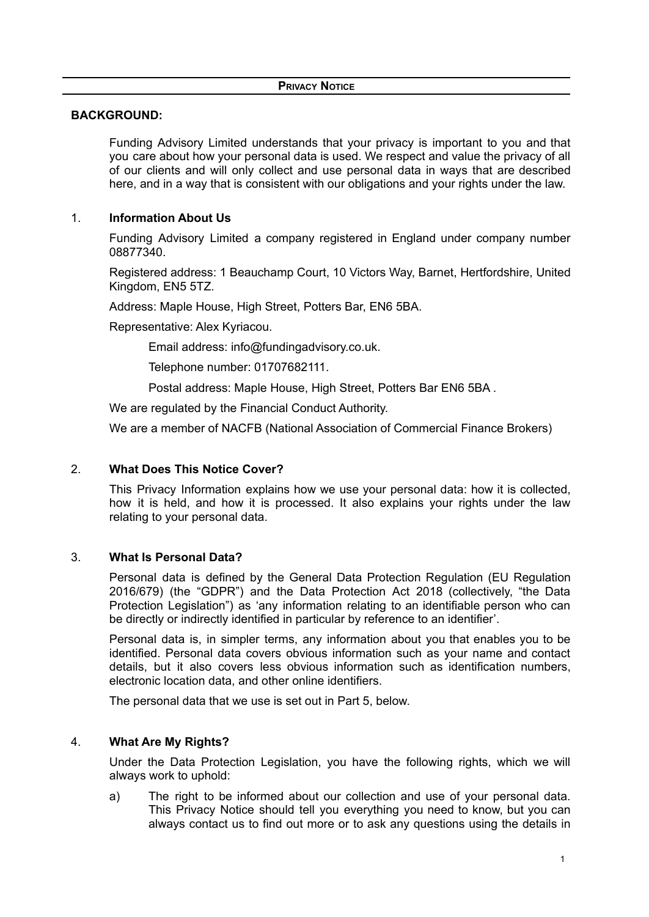## **BACKGROUND:**

Funding Advisory Limited understands that your privacy is important to you and that you care about how your personal data is used. We respect and value the privacy of all of our clients and will only collect and use personal data in ways that are described here, and in a way that is consistent with our obligations and your rights under the law.

## 1. **Information About Us**

Funding Advisory Limited a company registered in England under company number 08877340.

Registered address: 1 Beauchamp Court, 10 Victors Way, Barnet, Hertfordshire, United Kingdom, EN5 5TZ.

Address: Maple House, High Street, Potters Bar, EN6 5BA.

Representative: Alex Kyriacou.

Email address: info@fundingadvisory.co.uk.

Telephone number: 01707682111.

Postal address: Maple House, High Street, Potters Bar EN6 5BA .

We are regulated by the Financial Conduct Authority.

We are a member of NACFB (National Association of Commercial Finance Brokers)

### 2. **What Does This Notice Cover?**

This Privacy Information explains how we use your personal data: how it is collected, how it is held, and how it is processed. It also explains your rights under the law relating to your personal data.

### 3. **What Is Personal Data?**

Personal data is defined by the General Data Protection Regulation (EU Regulation 2016/679) (the "GDPR") and the Data Protection Act 2018 (collectively, "the Data Protection Legislation") as 'any information relating to an identifiable person who can be directly or indirectly identified in particular by reference to an identifier'.

Personal data is, in simpler terms, any information about you that enables you to be identified. Personal data covers obvious information such as your name and contact details, but it also covers less obvious information such as identification numbers, electronic location data, and other online identifiers.

The personal data that we use is set out in Part 5, below.

### 4. **What Are My Rights?**

Under the Data Protection Legislation, you have the following rights, which we will always work to uphold:

a) The right to be informed about our collection and use of your personal data. This Privacy Notice should tell you everything you need to know, but you can always contact us to find out more or to ask any questions using the details in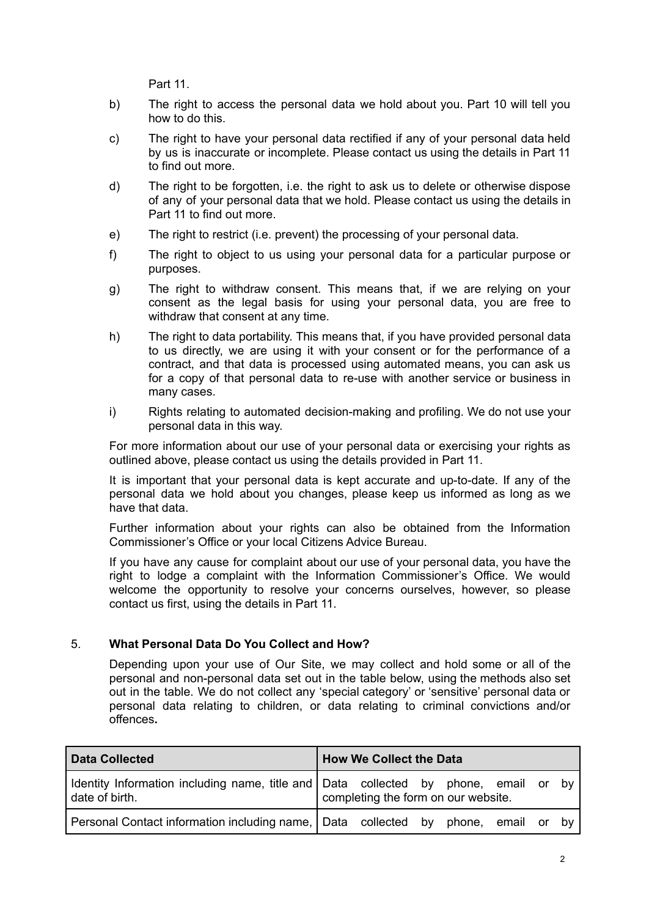Part 11.

- b) The right to access the personal data we hold about you. Part 10 will tell you how to do this.
- c) The right to have your personal data rectified if any of your personal data held by us is inaccurate or incomplete. Please contact us using the details in Part 11 to find out more.
- d) The right to be forgotten, i.e. the right to ask us to delete or otherwise dispose of any of your personal data that we hold. Please contact us using the details in Part 11 to find out more.
- e) The right to restrict (i.e. prevent) the processing of your personal data.
- f) The right to object to us using your personal data for a particular purpose or purposes.
- g) The right to withdraw consent. This means that, if we are relying on your consent as the legal basis for using your personal data, you are free to withdraw that consent at any time.
- h) The right to data portability. This means that, if you have provided personal data to us directly, we are using it with your consent or for the performance of a contract, and that data is processed using automated means, you can ask us for a copy of that personal data to re-use with another service or business in many cases.
- i) Rights relating to automated decision-making and profiling. We do not use your personal data in this way.

For more information about our use of your personal data or exercising your rights as outlined above, please contact us using the details provided in Part 11.

It is important that your personal data is kept accurate and up-to-date. If any of the personal data we hold about you changes, please keep us informed as long as we have that data.

Further information about your rights can also be obtained from the Information Commissioner's Office or your local Citizens Advice Bureau.

If you have any cause for complaint about our use of your personal data, you have the right to lodge a complaint with the Information Commissioner's Office. We would welcome the opportunity to resolve your concerns ourselves, however, so please contact us first, using the details in Part 11.

### 5. **What Personal Data Do You Collect and How?**

Depending upon your use of Our Site, we may collect and hold some or all of the personal and non-personal data set out in the table below, using the methods also set out in the table. We do not collect any 'special category' or 'sensitive' personal data or personal data relating to children, or data relating to criminal convictions and/or offences**.**

| Data Collected | <b>How We Collect the Data</b>                                                                                               |  |  |
|----------------|------------------------------------------------------------------------------------------------------------------------------|--|--|
| date of birth. | Identity Information including name, title and   Data collected by phone, email or by<br>completing the form on our website. |  |  |
|                | Personal Contact information including name, Data collected by phone, email or by                                            |  |  |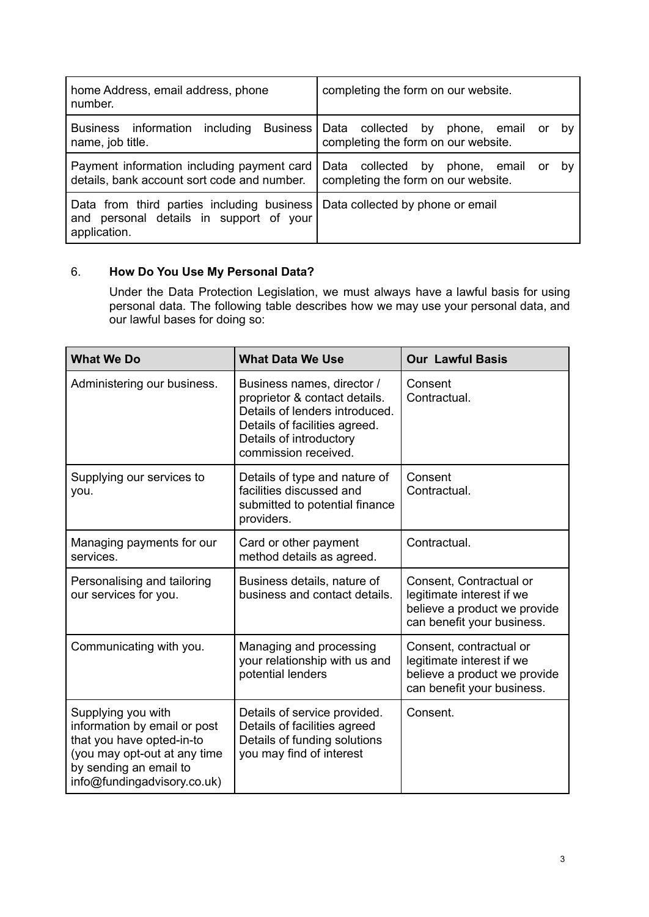| home Address, email address, phone<br>number.                                                                                          | completing the form on our website.                                                     |  |
|----------------------------------------------------------------------------------------------------------------------------------------|-----------------------------------------------------------------------------------------|--|
| information including Business   Data collected by<br><b>Business</b><br>name, job title.                                              | phone, email<br>bv<br>or<br>completing the form on our website.                         |  |
| Payment information including payment card<br>details, bank account sort code and number.                                              | Data collected<br>by<br>phone, email<br>or<br>bv<br>completing the form on our website. |  |
| Data from third parties including business Data collected by phone or email<br>and personal details in support of your<br>application. |                                                                                         |  |

# 6. **How Do You Use My Personal Data?**

Under the Data Protection Legislation, we must always have a lawful basis for using personal data. The following table describes how we may use your personal data, and our lawful bases for doing so:

| <b>What We Do</b>                                                                                                                                                        | <b>What Data We Use</b>                                                                                                                                                           | <b>Our Lawful Basis</b>                                                                                            |  |
|--------------------------------------------------------------------------------------------------------------------------------------------------------------------------|-----------------------------------------------------------------------------------------------------------------------------------------------------------------------------------|--------------------------------------------------------------------------------------------------------------------|--|
| Administering our business.                                                                                                                                              | Business names, director /<br>proprietor & contact details.<br>Details of lenders introduced.<br>Details of facilities agreed.<br>Details of introductory<br>commission received. | Consent<br>Contractual.                                                                                            |  |
| Supplying our services to<br>you.                                                                                                                                        | Details of type and nature of<br>facilities discussed and<br>submitted to potential finance<br>providers.                                                                         | Consent<br>Contractual.                                                                                            |  |
| Managing payments for our<br>services.                                                                                                                                   | Card or other payment<br>method details as agreed.                                                                                                                                | Contractual.                                                                                                       |  |
| Personalising and tailoring<br>our services for you.                                                                                                                     | Business details, nature of<br>business and contact details.                                                                                                                      | Consent, Contractual or<br>legitimate interest if we<br>believe a product we provide<br>can benefit your business. |  |
| Communicating with you.                                                                                                                                                  | Managing and processing<br>your relationship with us and<br>potential lenders                                                                                                     | Consent, contractual or<br>legitimate interest if we<br>believe a product we provide<br>can benefit your business. |  |
| Supplying you with<br>information by email or post<br>that you have opted-in-to<br>(you may opt-out at any time<br>by sending an email to<br>info@fundingadvisory.co.uk) | Details of service provided.<br>Details of facilities agreed<br>Details of funding solutions<br>you may find of interest                                                          | Consent.                                                                                                           |  |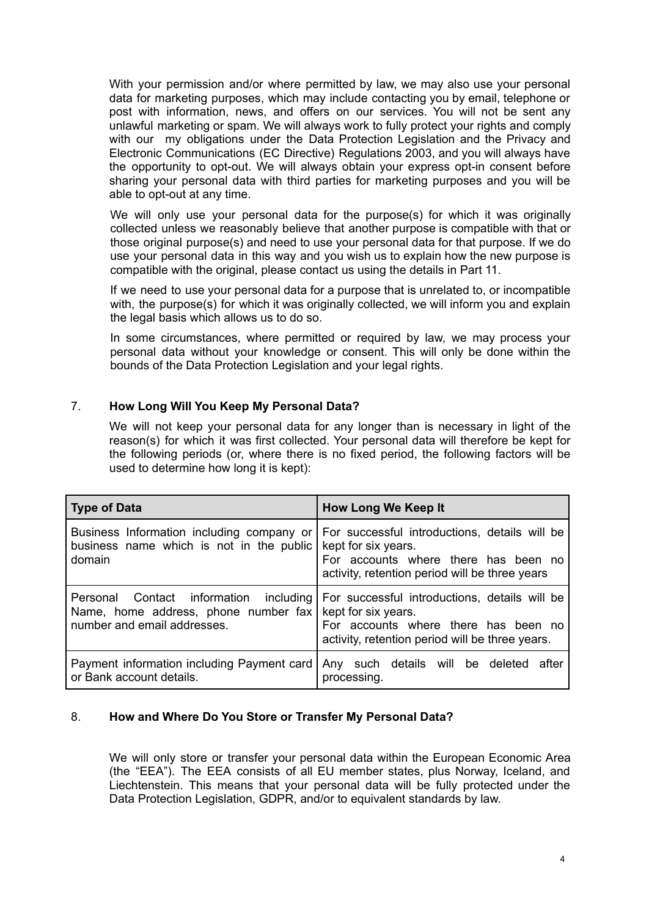With your permission and/or where permitted by law, we may also use your personal data for marketing purposes, which may include contacting you by email, telephone or post with information, news, and offers on our services. You will not be sent any unlawful marketing or spam. We will always work to fully protect your rights and comply with our my obligations under the Data Protection Legislation and the Privacy and Electronic Communications (EC Directive) Regulations 2003, and you will always have the opportunity to opt-out. We will always obtain your express opt-in consent before sharing your personal data with third parties for marketing purposes and you will be able to opt-out at any time.

We will only use your personal data for the purpose(s) for which it was originally collected unless we reasonably believe that another purpose is compatible with that or those original purpose(s) and need to use your personal data for that purpose. If we do use your personal data in this way and you wish us to explain how the new purpose is compatible with the original, please contact us using the details in Part 11.

If we need to use your personal data for a purpose that is unrelated to, or incompatible with, the purpose(s) for which it was originally collected, we will inform you and explain the legal basis which allows us to do so.

In some circumstances, where permitted or required by law, we may process your personal data without your knowledge or consent. This will only be done within the bounds of the Data Protection Legislation and your legal rights.

## 7. **How Long Will You Keep My Personal Data?**

We will not keep your personal data for any longer than is necessary in light of the reason(s) for which it was first collected. Your personal data will therefore be kept for the following periods (or, where there is no fixed period, the following factors will be used to determine how long it is kept):

| <b>Type of Data</b>                                                                                           | <b>How Long We Keep It</b>                                                                                                                                      |  |  |
|---------------------------------------------------------------------------------------------------------------|-----------------------------------------------------------------------------------------------------------------------------------------------------------------|--|--|
| Business Information including company or<br>business name which is not in the public<br>domain               | For successful introductions, details will be<br>kept for six years.<br>For accounts where there has been no<br>activity, retention period will be three years  |  |  |
| Personal Contact information including<br>Name, home address, phone number fax<br>number and email addresses. | For successful introductions, details will be<br>kept for six years.<br>For accounts where there has been no<br>activity, retention period will be three years. |  |  |
| Payment information including Payment card<br>or Bank account details.                                        | Any such details will be deleted after<br>processing.                                                                                                           |  |  |

### 8. **How and Where Do You Store or Transfer My Personal Data?**

We will only store or transfer your personal data within the European Economic Area (the "EEA"). The EEA consists of all EU member states, plus Norway, Iceland, and Liechtenstein. This means that your personal data will be fully protected under the Data Protection Legislation, GDPR, and/or to equivalent standards by law.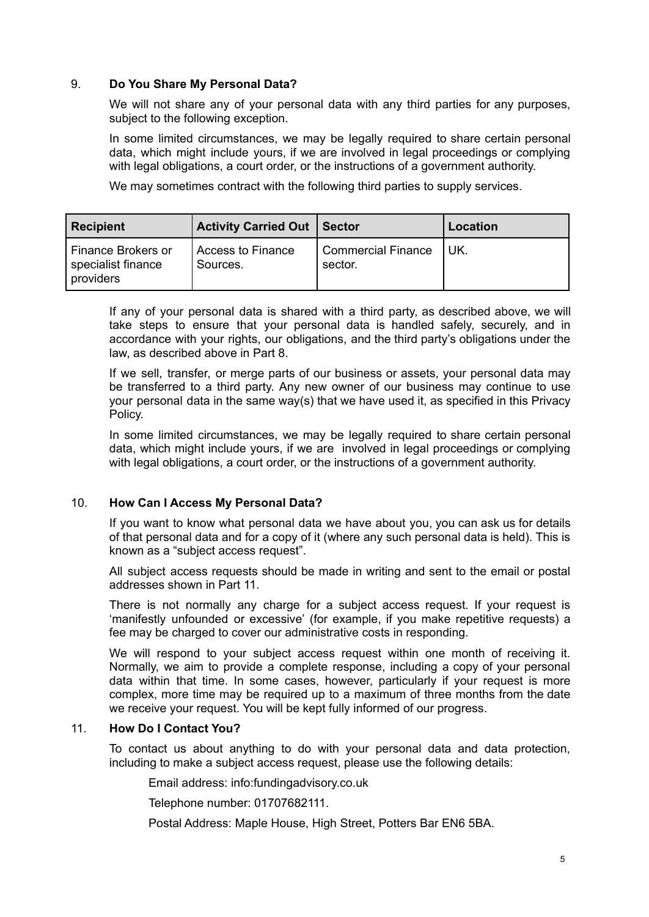### 9. **Do You Share My Personal Data?**

We will not share any of your personal data with any third parties for any purposes, subject to the following exception.

In some limited circumstances, we may be legally required to share certain personal data, which might include yours, if we are involved in legal proceedings or complying with legal obligations, a court order, or the instructions of a government authority.

We may sometimes contract with the following third parties to supply services.

| <b>Recipient</b>                                      | <b>Activity Carried Out   Sector</b> |                                      | <b>Location</b> |
|-------------------------------------------------------|--------------------------------------|--------------------------------------|-----------------|
| Finance Brokers or<br>specialist finance<br>providers | Access to Finance<br>Sources.        | <b>Commercial Finance</b><br>sector. | UK.             |

If any of your personal data is shared with a third party, as described above, we will take steps to ensure that your personal data is handled safely, securely, and in accordance with your rights, our obligations, and the third party's obligations under the law, as described above in Part 8.

If we sell, transfer, or merge parts of our business or assets, your personal data may be transferred to a third party. Any new owner of our business may continue to use your personal data in the same way(s) that we have used it, as specified in this Privacy Policy.

In some limited circumstances, we may be legally required to share certain personal data, which might include yours, if we are involved in legal proceedings or complying with legal obligations, a court order, or the instructions of a government authority.

### 10. **How Can I Access My Personal Data?**

If you want to know what personal data we have about you, you can ask us for details of that personal data and for a copy of it (where any such personal data is held). This is known as a "subject access request".

All subject access requests should be made in writing and sent to the email or postal addresses shown in Part 11.

There is not normally any charge for a subject access request. If your request is 'manifestly unfounded or excessive' (for example, if you make repetitive requests) a fee may be charged to cover our administrative costs in responding.

We will respond to your subject access request within one month of receiving it. Normally, we aim to provide a complete response, including a copy of your personal data within that time. In some cases, however, particularly if your request is more complex, more time may be required up to a maximum of three months from the date we receive your request. You will be kept fully informed of our progress.

### 11. **How Do I Contact You?**

To contact us about anything to do with your personal data and data protection, including to make a subject access request, please use the following details:

Email address: info:fundingadvisory.co.uk

Telephone number: 01707682111.

Postal Address: Maple House, High Street, Potters Bar EN6 5BA.